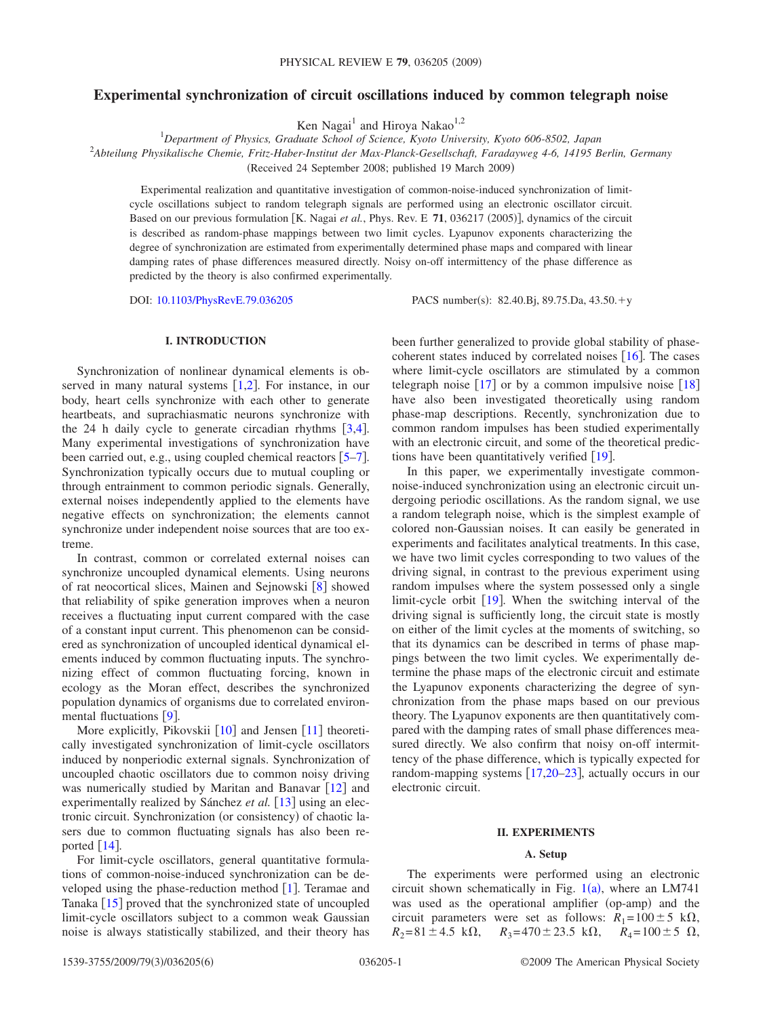# **Experimental synchronization of circuit oscillations induced by common telegraph noise**

Ken Nagai<sup>1</sup> and Hiroya Nakao<sup>1,2</sup>

1 *Department of Physics, Graduate School of Science, Kyoto University, Kyoto 606-8502, Japan* 2 *Abteilung Physikalische Chemie, Fritz-Haber-Institut der Max-Planck-Gesellschaft, Faradayweg 4-6, 14195 Berlin, Germany*

Received 24 September 2008; published 19 March 2009-

Experimental realization and quantitative investigation of common-noise-induced synchronization of limitcycle oscillations subject to random telegraph signals are performed using an electronic oscillator circuit. Based on our previous formulation [K. Nagai *et al.*, Phys. Rev. E 71, 036217 (2005)], dynamics of the circuit is described as random-phase mappings between two limit cycles. Lyapunov exponents characterizing the degree of synchronization are estimated from experimentally determined phase maps and compared with linear damping rates of phase differences measured directly. Noisy on-off intermittency of the phase difference as predicted by the theory is also confirmed experimentally.

DOI: [10.1103/PhysRevE.79.036205](http://dx.doi.org/10.1103/PhysRevE.79.036205)

PACS number(s): 82.40.Bj, 89.75.Da, 43.50.+y

# **I. INTRODUCTION**

Synchronization of nonlinear dynamical elements is observed in many natural systems  $[1,2]$  $[1,2]$  $[1,2]$  $[1,2]$ . For instance, in our body, heart cells synchronize with each other to generate heartbeats, and suprachiasmatic neurons synchronize with the 2[4](#page-5-3) h daily cycle to generate circadian rhythms  $[3,4]$  $[3,4]$  $[3,4]$ . Many experimental investigations of synchronization have been carried out, e.g., using coupled chemical reactors  $[5-7]$  $[5-7]$  $[5-7]$ . Synchronization typically occurs due to mutual coupling or through entrainment to common periodic signals. Generally, external noises independently applied to the elements have negative effects on synchronization; the elements cannot synchronize under independent noise sources that are too extreme.

In contrast, common or correlated external noises can synchronize uncoupled dynamical elements. Using neurons of rat neocortical slices, Mainen and Sejnowski  $\lceil 8 \rceil$  $\lceil 8 \rceil$  $\lceil 8 \rceil$  showed that reliability of spike generation improves when a neuron receives a fluctuating input current compared with the case of a constant input current. This phenomenon can be considered as synchronization of uncoupled identical dynamical elements induced by common fluctuating inputs. The synchronizing effect of common fluctuating forcing, known in ecology as the Moran effect, describes the synchronized population dynamics of organisms due to correlated environmental fluctuations  $[9]$  $[9]$  $[9]$ .

More explicitly, Pikovskii  $\lceil 10 \rceil$  $\lceil 10 \rceil$  $\lceil 10 \rceil$  and Jensen  $\lceil 11 \rceil$  $\lceil 11 \rceil$  $\lceil 11 \rceil$  theoretically investigated synchronization of limit-cycle oscillators induced by nonperiodic external signals. Synchronization of uncoupled chaotic oscillators due to common noisy driving was numerically studied by Maritan and Banavar  $[12]$  $[12]$  $[12]$  and experimentally realized by Sánchez *et al.* [[13](#page-5-11)] using an electronic circuit. Synchronization (or consistency) of chaotic lasers due to common fluctuating signals has also been reported  $\lceil 14 \rceil$  $\lceil 14 \rceil$  $\lceil 14 \rceil$ .

For limit-cycle oscillators, general quantitative formulations of common-noise-induced synchronization can be developed using the phase-reduction method  $[1]$  $[1]$  $[1]$ . Teramae and Tanaka [[15](#page-5-13)] proved that the synchronized state of uncoupled limit-cycle oscillators subject to a common weak Gaussian noise is always statistically stabilized, and their theory has

been further generalized to provide global stability of phasecoherent states induced by correlated noises  $[16]$  $[16]$  $[16]$ . The cases where limit-cycle oscillators are stimulated by a common telegraph noise  $\lceil 17 \rceil$  $\lceil 17 \rceil$  $\lceil 17 \rceil$  or by a common impulsive noise  $\lceil 18 \rceil$  $\lceil 18 \rceil$  $\lceil 18 \rceil$ have also been investigated theoretically using random phase-map descriptions. Recently, synchronization due to common random impulses has been studied experimentally with an electronic circuit, and some of the theoretical predictions have been quantitatively verified  $[19]$  $[19]$  $[19]$ .

In this paper, we experimentally investigate commonnoise-induced synchronization using an electronic circuit undergoing periodic oscillations. As the random signal, we use a random telegraph noise, which is the simplest example of colored non-Gaussian noises. It can easily be generated in experiments and facilitates analytical treatments. In this case, we have two limit cycles corresponding to two values of the driving signal, in contrast to the previous experiment using random impulses where the system possessed only a single limit-cycle orbit  $[19]$  $[19]$  $[19]$ . When the switching interval of the driving signal is sufficiently long, the circuit state is mostly on either of the limit cycles at the moments of switching, so that its dynamics can be described in terms of phase mappings between the two limit cycles. We experimentally determine the phase maps of the electronic circuit and estimate the Lyapunov exponents characterizing the degree of synchronization from the phase maps based on our previous theory. The Lyapunov exponents are then quantitatively compared with the damping rates of small phase differences measured directly. We also confirm that noisy on-off intermittency of the phase difference, which is typically expected for random-mapping systems  $\left[17,20-23\right]$  $\left[17,20-23\right]$  $\left[17,20-23\right]$  $\left[17,20-23\right]$  $\left[17,20-23\right]$ , actually occurs in our electronic circuit.

## **II. EXPERIMENTS**

## **A. Setup**

<span id="page-0-0"></span>The experiments were performed using an electronic circuit shown schematically in Fig.  $1(a)$  $1(a)$ , where an LM741 was used as the operational amplifier (op-amp) and the circuit parameters were set as follows:  $R_1 = 100 \pm 5$  k $\Omega$ ,  $R_2 = 81 \pm 4.5 \text{ k}\Omega$ ,  $R_3 = 470 \pm 23.5 \text{ k}\Omega$ ,  $R_4 = 100 \pm 5 \Omega$ ,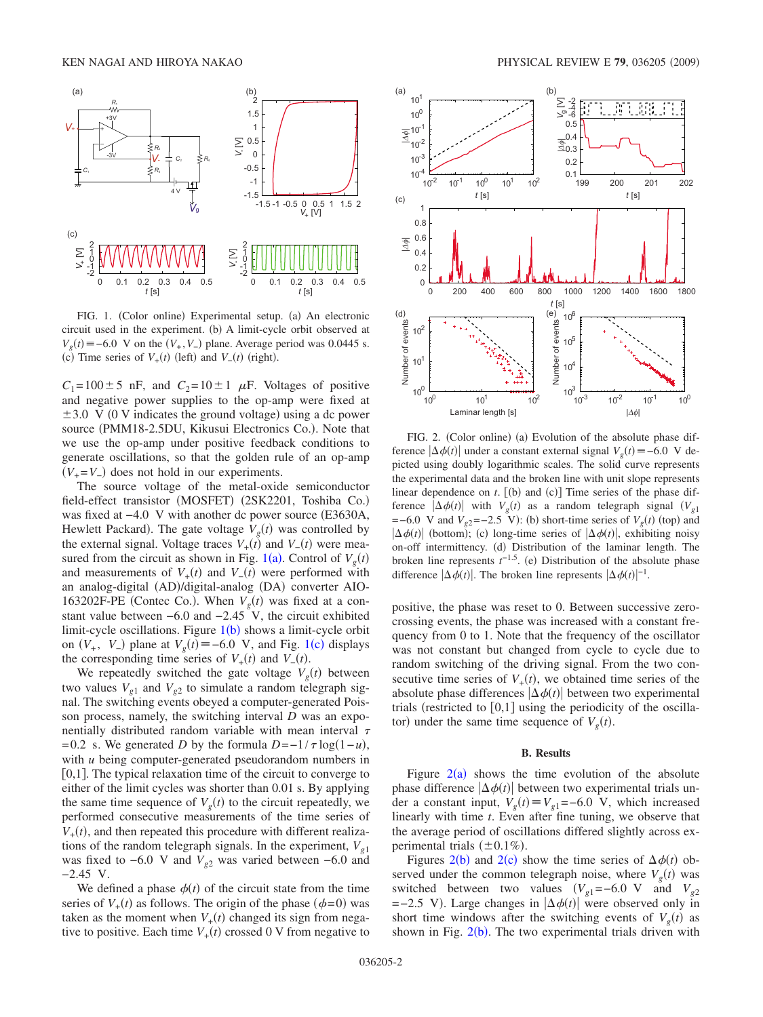<span id="page-1-0"></span>

FIG. 1. (Color online) Experimental setup. (a) An electronic circuit used in the experiment. (b) A limit-cycle orbit observed at  $V_g(t) \equiv -6.0 \text{ V}$  on the  $(V_+, V_-)$  plane. Average period was 0.0445 s. (c) Time series of  $V_+(t)$  (left) and  $V_-(t)$  (right).

 $C_1 = 100 \pm 5$  nF, and  $C_2 = 10 \pm 1$   $\mu$ F. Voltages of positive and negative power supplies to the op-amp were fixed at  $\pm 3.0 \,$  V (0 V indicates the ground voltage) using a dc power source (PMM18-2.5DU, Kikusui Electronics Co.). Note that we use the op-amp under positive feedback conditions to generate oscillations, so that the golden rule of an op-amp  $(V_{+} = V_{-})$  does not hold in our experiments.

The source voltage of the metal-oxide semiconductor field-effect transistor (MOSFET) (2SK2201, Toshiba Co.) was fixed at −4.0 V with another dc power source (E3630A, Hewlett Packard). The gate voltage  $V_g(t)$  was controlled by the external signal. Voltage traces  $V_{+}(t)$  and  $V_{-}(t)$  were mea-sured from the circuit as shown in Fig. [1](#page-1-0)(a). Control of  $V_g(t)$ and measurements of  $V_{+}(t)$  and  $V_{-}(t)$  were performed with an analog-digital (AD)/digital-analog (DA) converter AIO-163202F-PE (Contec Co.). When  $V_g(t)$  was fixed at a constant value between  $-6.0$  and  $-2.45$  V, the circuit exhibited limit-cycle oscillations. Figure  $1(b)$  $1(b)$  shows a limit-cycle orbit on  $(V_+, V_-)$  plane at  $V_g(t) \equiv -6.0 \text{ V}$ , and Fig. [1](#page-1-0)(c) displays the corresponding time series of  $V_+(t)$  and  $V_-(t)$ .

We repeatedly switched the gate voltage  $V_g(t)$  between two values  $V_{\varrho_1}$  and  $V_{\varrho_2}$  to simulate a random telegraph signal. The switching events obeyed a computer-generated Poisson process, namely, the switching interval *D* was an exponentially distributed random variable with mean interval  $\tau$ = 0.2 s. We generated *D* by the formula  $D = -1/\tau \log(1 - u)$ , with *u* being computer-generated pseudorandom numbers in  $[0,1]$ . The typical relaxation time of the circuit to converge to either of the limit cycles was shorter than 0.01 s. By applying the same time sequence of  $V_g(t)$  to the circuit repeatedly, we performed consecutive measurements of the time series of  $V_{+}(t)$ , and then repeated this procedure with different realizations of the random telegraph signals. In the experiment,  $V_{g1}$ was fixed to  $-6.0$  V and  $V_{g2}$  was varied between  $-6.0$  and −2.45 V.

We defined a phase  $\phi(t)$  of the circuit state from the time series of  $V_+(t)$  as follows. The origin of the phase  $(\phi=0)$  was taken as the moment when  $V_+(t)$  changed its sign from negative to positive. Each time  $V_+(t)$  crossed 0 V from negative to

<span id="page-1-1"></span>

FIG. 2. (Color online) (a) Evolution of the absolute phase difference  $|\Delta \phi(t)|$  under a constant external signal  $V_g(t) \equiv -6.0 \text{ V}$  depicted using doubly logarithmic scales. The solid curve represents the experimental data and the broken line with unit slope represents linear dependence on  $t$ .  $[$ (b) and  $(c)$  $]$  Time series of the phase difference  $|\Delta \phi(t)|$  with  $V_g(t)$  as a random telegraph signal  $(V_{g1})$  $=$  −6.0 V and  $V_{g2}$ = −2.5 V): (b) short-time series of  $V_g(t)$  (top) and  $|\Delta \phi(t)|$  (bottom); (c) long-time series of  $|\Delta \phi(t)|$ , exhibiting noisy on-off intermittency. (d) Distribution of the laminar length. The broken line represents  $t^{-1.5}$ . (e) Distribution of the absolute phase difference  $|\Delta \phi(t)|$ . The broken line represents  $|\Delta \phi(t)|^{-1}$ .

positive, the phase was reset to 0. Between successive zerocrossing events, the phase was increased with a constant frequency from 0 to 1. Note that the frequency of the oscillator was not constant but changed from cycle to cycle due to random switching of the driving signal. From the two consecutive time series of  $V_+(t)$ , we obtained time series of the absolute phase differences  $|\Delta \phi(t)|$  between two experimental trials (restricted to  $[0,1]$  using the periodicity of the oscillator) under the same time sequence of  $V_g(t)$ .

#### **B. Results**

Figure  $2(a)$  $2(a)$  shows the time evolution of the absolute phase difference  $|\Delta \phi(t)|$  between two experimental trials under a constant input,  $V_g(t) \equiv V_{g1} = -6.0$  V, which increased linearly with time *t*. Even after fine tuning, we observe that the average period of oscillations differed slightly across experimental trials  $(\pm 0.1\%)$ .

Figures [2](#page-1-1)(b) and 2(c) show the time series of  $\Delta \phi(t)$  observed under the common telegraph noise, where  $V_g(t)$  was switched between two values  $(V_{g1}=-6.0 \text{ V}$  and  $V_{g2}$  $=-2.5$  V). Large changes in  $\left|\Delta\phi(t)\right|$  were observed only in short time windows after the switching events of  $V_g(t)$  as shown in Fig.  $2(b)$  $2(b)$ . The two experimental trials driven with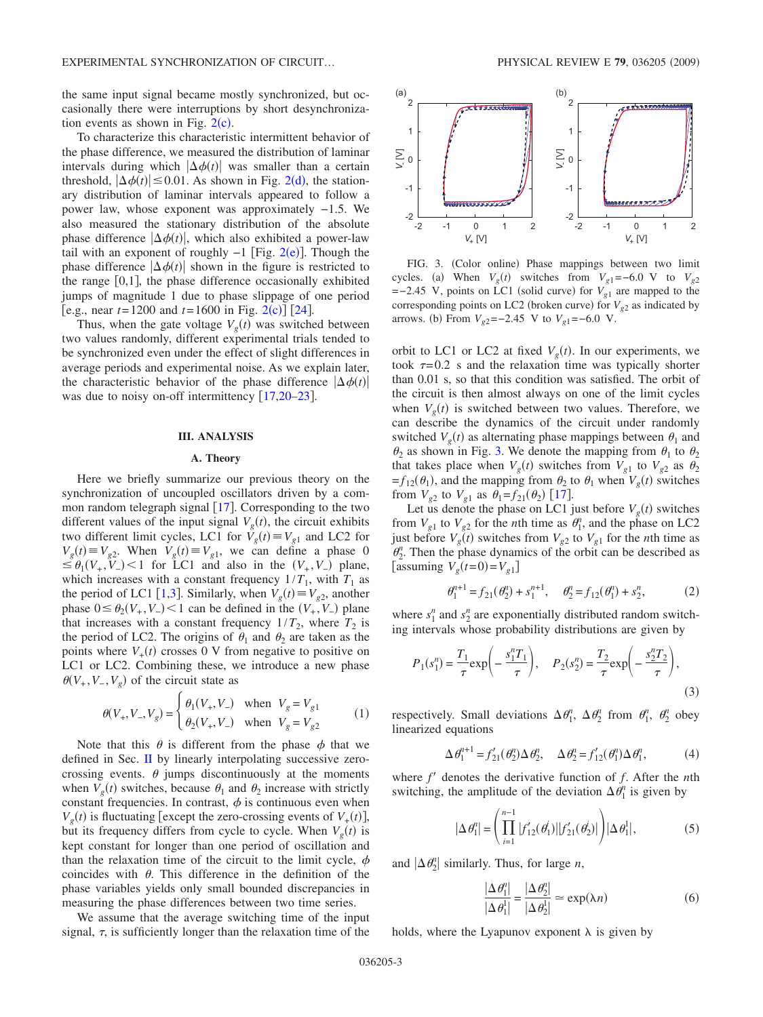the same input signal became mostly synchronized, but occasionally there were interruptions by short desynchronization events as shown in Fig.  $2(c)$  $2(c)$ .

To characterize this characteristic intermittent behavior of the phase difference, we measured the distribution of laminar intervals during which  $|\Delta \phi(t)|$  was smaller than a certain threshold,  $|\Delta \phi(t)| \le 0.01$ . As shown in Fig. [2](#page-1-1)(d), the stationary distribution of laminar intervals appeared to follow a power law, whose exponent was approximately −1.5. We also measured the stationary distribution of the absolute phase difference  $|\Delta \phi(t)|$ , which also exhibited a power-law tail with an exponent of roughly  $-1$  [Fig. [2](#page-1-1)(e)]. Though the phase difference  $|\Delta \phi(t)|$  shown in the figure is restricted to the range  $[0,1]$ , the phase difference occasionally exhibited jumps of magnitude 1 due to phase slippage of one period  $[e.g., near t=1200 and t=1600 in Fig. 2(c)]$  $[e.g., near t=1200 and t=1600 in Fig. 2(c)]$  $[e.g., near t=1200 and t=1600 in Fig. 2(c)]$  [[24](#page-5-20)].

Thus, when the gate voltage  $V_g(t)$  was switched between two values randomly, different experimental trials tended to be synchronized even under the effect of slight differences in average periods and experimental noise. As we explain later, the characteristic behavior of the phase difference  $|\Delta \phi(t)|$ was due to noisy on-off intermittency  $\lceil 17,20-23 \rceil$  $\lceil 17,20-23 \rceil$  $\lceil 17,20-23 \rceil$  $\lceil 17,20-23 \rceil$ .

#### **III. ANALYSIS**

## **A. Theory**

Here we briefly summarize our previous theory on the synchronization of uncoupled oscillators driven by a common random telegraph signal  $[17]$  $[17]$  $[17]$ . Corresponding to the two different values of the input signal  $V_g(t)$ , the circuit exhibits two different limit cycles, LC1 for  $\overline{V}_g(t) \equiv V_{g1}$  and LC2 for  $V_g(t) \equiv V_{g2}$ . When  $V_g(t) \equiv V_{g1}$ , we can define a phase 0  $\leq \theta_1(V_+, V_-)$  < 1 for LC1 and also in the  $(V_+, V_-)$  plane, which increases with a constant frequency  $1/T_1$ , with  $T_1$  as the period of LC1 [[1,](#page-5-0)[3](#page-5-2)]. Similarly, when  $V_g(t) \equiv V_{g2}$ , another phase  $0 \leq \theta_2(V_+, V_-) < 1$  can be defined in the  $(V_+, V_-)$  plane that increases with a constant frequency  $1/T_2$ , where  $T_2$  is the period of LC2. The origins of  $\theta_1$  and  $\theta_2$  are taken as the points where  $V_+(t)$  crosses 0 V from negative to positive on LC1 or LC2. Combining these, we introduce a new phase  $\theta(V_+, V_-, V_g)$  of the circuit state as

$$
\theta(V_+, V_-, V_g) = \begin{cases} \theta_1(V_+, V_-) & \text{when } V_g = V_{g1} \\ \theta_2(V_+, V_-) & \text{when } V_g = V_{g2} \end{cases}
$$
 (1)

Note that this  $\theta$  is different from the phase  $\phi$  that we defined in Sec. [II](#page-0-0) by linearly interpolating successive zerocrossing events.  $\theta$  jumps discontinuously at the moments when  $V_g(t)$  switches, because  $\theta_1$  and  $\theta_2$  increase with strictly constant frequencies. In contrast,  $\phi$  is continuous even when  $V_g(t)$  is fluctuating [except the zero-crossing events of  $V_+(t)$ ], but its frequency differs from cycle to cycle. When  $V_g(t)$  is kept constant for longer than one period of oscillation and than the relaxation time of the circuit to the limit cycle,  $\phi$ coincides with  $\theta$ . This difference in the definition of the phase variables yields only small bounded discrepancies in measuring the phase differences between two time series.

We assume that the average switching time of the input signal,  $\tau$ , is sufficiently longer than the relaxation time of the

<span id="page-2-0"></span>

FIG. 3. (Color online) Phase mappings between two limit cycles. (a) When  $V_g(t)$  switches from  $V_{g1} = -6.0$  V to  $V_{g2}$  $=-2.45$  V, points on LC1 (solid curve) for  $V_{g1}$  are mapped to the corresponding points on LC2 (broken curve) for  $V_{g2}$  as indicated by arrows. (b) From  $V_{g2}$ =−2.45 V to  $V_{g1}$ =−6.0 V.

orbit to LC1 or LC2 at fixed  $V_g(t)$ . In our experiments, we took  $\tau = 0.2$  s and the relaxation time was typically shorter than 0.01 s, so that this condition was satisfied. The orbit of the circuit is then almost always on one of the limit cycles when  $V_g(t)$  is switched between two values. Therefore, we can describe the dynamics of the circuit under randomly switched  $V_g(t)$  as alternating phase mappings between  $\theta_1$  and  $\theta_2$  as shown in Fig. [3.](#page-2-0) We denote the mapping from  $\theta_1$  to  $\theta_2$ that takes place when  $V_g(t)$  switches from  $V_{g1}$  to  $V_{g2}$  as  $\theta_2$  $=f_{12}(\theta_1)$ , and the mapping from  $\theta_2$  to  $\theta_1$  when  $V_g(t)$  switches from  $V_{g2}$  to  $V_{g1}$  as  $\theta_1 = f_{21}(\theta_2)$  [[17](#page-5-15)].

Let us denote the phase on LC1 just before  $V_g(t)$  switches from  $V_{g1}$  to  $V_{g2}$  for the *n*th time as  $\theta_1^n$ , and the phase on LC2 just before  $V_g(t)$  switches from  $V_{g2}$  to  $V_{g1}$  for the *n*th time as  $\theta_2^n$ . Then the phase dynamics of the orbit can be described as [assuming  $V_g(t=0) = V_{g1}$ ]

$$
\theta_1^{n+1} = f_{21}(\theta_2^n) + s_1^{n+1}, \quad \theta_2^n = f_{12}(\theta_1^n) + s_2^n,
$$
 (2)

where  $s_1^n$  and  $s_2^n$  are exponentially distributed random switching intervals whose probability distributions are given by

$$
P_1(s_1^n) = \frac{T_1}{\tau} \exp\left(-\frac{s_1^n T_1}{\tau}\right), \quad P_2(s_2^n) = \frac{T_2}{\tau} \exp\left(-\frac{s_2^n T_2}{\tau}\right),\tag{3}
$$

respectively. Small deviations  $\Delta \theta_1^n$ ,  $\Delta \theta_2^n$  from  $\theta_1^n$ ,  $\theta_2^n$  obey linearized equations

$$
\Delta \theta_1^{n+1} = f_{21}'(\theta_2^n) \Delta \theta_2^n, \quad \Delta \theta_2^n = f_{12}'(\theta_1^n) \Delta \theta_1^n,\tag{4}
$$

where *f'* denotes the derivative function of *f*. After the *n*th switching, the amplitude of the deviation  $\Delta \theta_1^n$  is given by

$$
|\Delta \theta_1^i| = \left(\prod_{i=1}^{n-1} |f'_{12}(\theta_1^i)| |f'_{21}(\theta_2^i)|\right) |\Delta \theta_1^i|,\tag{5}
$$

<span id="page-2-1"></span>and  $|\Delta \theta_2^n|$  similarly. Thus, for large *n*,

$$
\frac{|\Delta \theta_1^n|}{|\Delta \theta_1^1|} = \frac{|\Delta \theta_2^n|}{|\Delta \theta_2^1|} \approx \exp(\lambda n)
$$
 (6)

holds, where the Lyapunov exponent  $\lambda$  is given by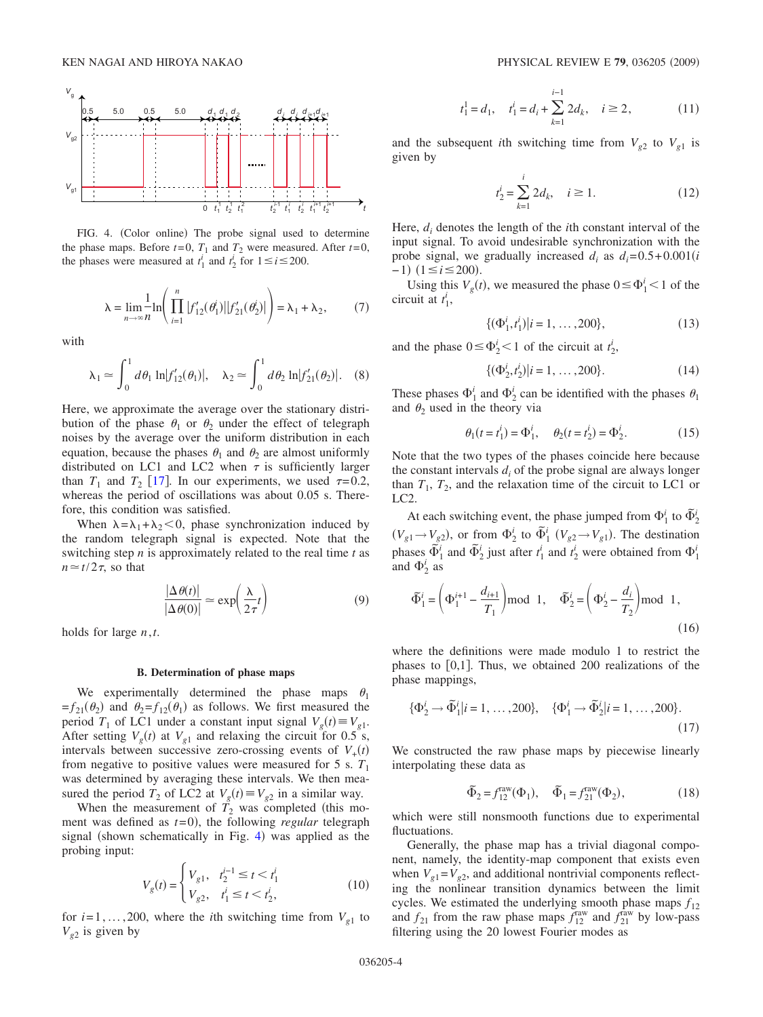<span id="page-3-0"></span>

FIG. 4. (Color online) The probe signal used to determine the phase maps. Before  $t=0$ ,  $T_1$  and  $T_2$  were measured. After  $t=0$ , the phases were measured at  $t_1^i$  and  $t_2^i$  for  $1 \le i \le 200$ .

$$
\lambda = \lim_{n \to \infty} \frac{1}{n} \ln \left( \prod_{i=1}^{n} |f'_{12}(\theta_1)| |f'_{21}(\theta_2)| \right) = \lambda_1 + \lambda_2, \tag{7}
$$

with

$$
\lambda_1 \simeq \int_0^1 d\theta_1 \ln |f'_{12}(\theta_1)|, \quad \lambda_2 \simeq \int_0^1 d\theta_2 \ln |f'_{21}(\theta_2)|. \quad (8)
$$

Here, we approximate the average over the stationary distribution of the phase  $\theta_1$  or  $\theta_2$  under the effect of telegraph noises by the average over the uniform distribution in each equation, because the phases  $\theta_1$  and  $\theta_2$  are almost uniformly distributed on LC1 and LC2 when  $\tau$  is sufficiently larger than  $T_1$  and  $T_2$  [[17](#page-5-15)]. In our experiments, we used  $\tau=0.2$ , whereas the period of oscillations was about 0.05 s. Therefore, this condition was satisfied.

When  $\lambda = \lambda_1 + \lambda_2 < 0$ , phase synchronization induced by the random telegraph signal is expected. Note that the switching step *n* is approximately related to the real time *t* as  $n \approx t/2\tau$ , so that

$$
\frac{|\Delta \theta(t)|}{|\Delta \theta(0)|} \simeq \exp\left(\frac{\lambda}{2\tau}t\right) \tag{9}
$$

holds for large *n*,*t*.

#### **B. Determination of phase maps**

We experimentally determined the phase maps  $\theta_1$  $=f_{21}(\theta_2)$  and  $\theta_2 = f_{12}(\theta_1)$  as follows. We first measured the period  $T_1$  of LC1 under a constant input signal  $V_g(t) \equiv V_{g1}$ . After setting  $V_g(t)$  at  $V_{g1}$  and relaxing the circuit for 0.5 s, intervals between successive zero-crossing events of  $V_+(t)$ from negative to positive values were measured for 5 s.  $T_1$ was determined by averaging these intervals. We then measured the period  $T_2$  of LC2 at  $V_g(t) \equiv V_{g2}$  in a similar way.

When the measurement of  $\overline{T}_2$  was completed (this moment was defined as  $t=0$ ), the following *regular* telegraph signal (shown schematically in Fig. [4](#page-3-0)) was applied as the probing input:

$$
V_g(t) = \begin{cases} V_{g1}, & t_2^{i-1} \le t < t_1^i \\ V_{g2}, & t_1^i \le t < t_2^i, \end{cases}
$$
 (10)

for  $i=1,\ldots,200$ , where the *i*th switching time from  $V_{g1}$  to  $V_{g2}$  is given by

$$
t_1^1 = d_1
$$
,  $t_1^i = d_i + \sum_{k=1}^{i-1} 2d_k$ ,  $i \ge 2$ , (11)

and the subsequent *i*th switching time from  $V_{g2}$  to  $V_{g1}$  is given by

$$
t_2^i = \sum_{k=1}^i 2d_k, \quad i \ge 1.
$$
 (12)

Here, *di* denotes the length of the *i*th constant interval of the input signal. To avoid undesirable synchronization with the probe signal, we gradually increased  $d_i$  as  $d_i = 0.5 + 0.001(i)$  $-1)$  (1≤*i*≤200).

Using this  $V_g(t)$ , we measured the phase  $0 \le \Phi_1^i < 1$  of the circuit at  $t_1^i$ ,

$$
\{(\Phi_1^i, t_1^i)|i = 1, \dots, 200\},\tag{13}
$$

and the phase  $0 \le \Phi_2^i < 1$  of the circuit at  $t_2^i$ ,

$$
\{(\Phi_2^i, t_2^i)|i = 1, \dots, 200\}.
$$
 (14)

These phases  $\Phi_1^i$  and  $\Phi_2^i$  can be identified with the phases  $\theta_1$ and  $\theta_2$  used in the theory via

$$
\theta_1(t = t_1^i) = \Phi_1^i, \quad \theta_2(t = t_2^i) = \Phi_2^i.
$$
 (15)

Note that the two types of the phases coincide here because the constant intervals  $d_i$  of the probe signal are always longer than  $T_1$ ,  $T_2$ , and the relaxation time of the circuit to LC1 or LC2.

At each switching event, the phase jumped from  $\Phi_1^i$  to  $\tilde{\Phi}_2^i$  $(V_{g1} \rightarrow V_{g2})$ , or from  $\Phi_2^i$  to  $\tilde{\Phi}_1^i$   $(V_{g2} \rightarrow V_{g1})$ . The destination phases  $\vec{\Phi}_1^i$  and  $\vec{\Phi}_2^i$  just after  $t_1^i$  and  $t_2^i$  were obtained from  $\Phi_1^i$ and  $\Phi_2^i$  as

$$
\tilde{\Phi}_1^i = \left(\Phi_1^{i+1} - \frac{d_{i+1}}{T_1}\right) \text{mod } 1, \quad \tilde{\Phi}_2^i = \left(\Phi_2^i - \frac{d_i}{T_2}\right) \text{mod } 1,
$$
\n(16)

where the definitions were made modulo 1 to restrict the phases to  $[0,1]$ . Thus, we obtained 200 realizations of the phase mappings,

$$
\{\Phi_2^i \to \tilde{\Phi}_1^i | i = 1, \dots, 200\}, \quad \{\Phi_1^i \to \tilde{\Phi}_2^i | i = 1, \dots, 200\}.
$$
\n(17)

We constructed the raw phase maps by piecewise linearly interpolating these data as

$$
\tilde{\Phi}_2 = f_{12}^{\text{raw}}(\Phi_1), \quad \tilde{\Phi}_1 = f_{21}^{\text{raw}}(\Phi_2), \tag{18}
$$

which were still nonsmooth functions due to experimental fluctuations.

Generally, the phase map has a trivial diagonal component, namely, the identity-map component that exists even when  $V_{g1} = V_{g2}$ , and additional nontrivial components reflecting the nonlinear transition dynamics between the limit cycles. We estimated the underlying smooth phase maps  $f_{12}$ and  $f_{21}$  from the raw phase maps  $f_{12}^{\text{raw}}$  and  $f_{21}^{\text{raw}}$  by low-pass filtering using the 20 lowest Fourier modes as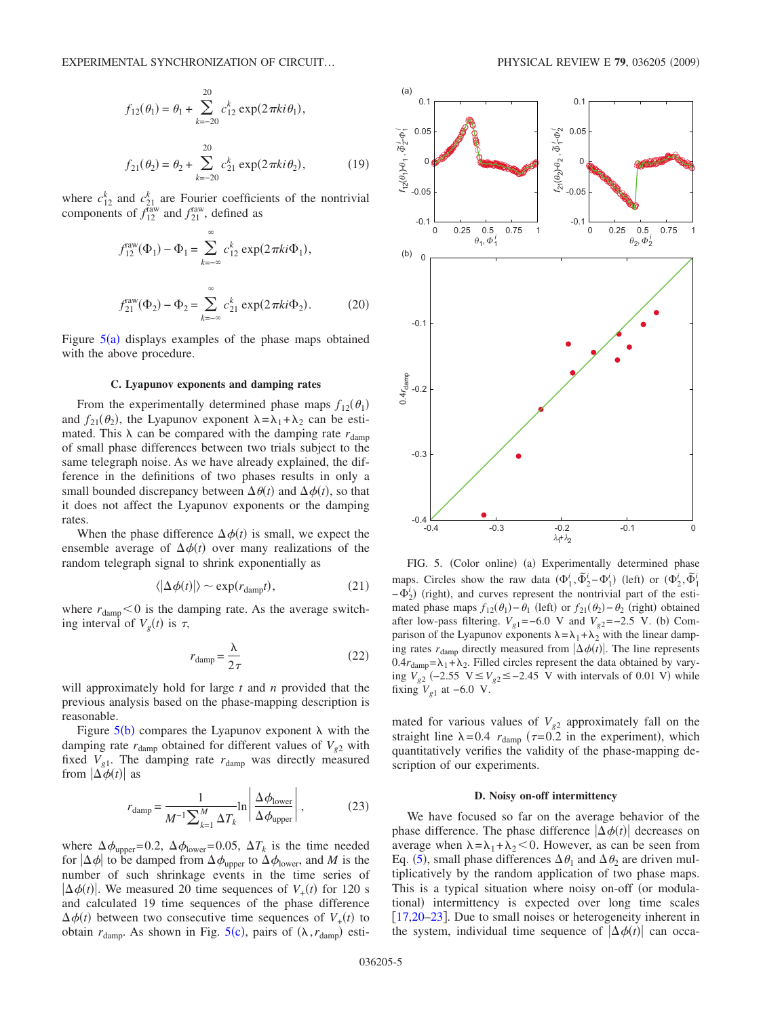$$
f_{12}(\theta_1) = \theta_1 + \sum_{k=-20}^{20} c_{12}^k \exp(2\pi ki\theta_1),
$$
  

$$
f_{21}(\theta_2) = \theta_2 + \sum_{k=-20}^{20} c_{21}^k \exp(2\pi ki\theta_2),
$$
 (19)

where  $c_{12}^k$  and  $c_{21}^k$  are Fourier coefficients of the nontrivial components of  $f_{12}^{\text{raw}}$  and  $f_{21}^{\text{raw}}$ , defined as

$$
f_{12}^{\text{raw}}(\Phi_1) - \Phi_1 = \sum_{k=-\infty}^{\infty} c_{12}^k \exp(2\pi ki\Phi_1),
$$
  

$$
f_{21}^{\text{raw}}(\Phi_2) - \Phi_2 = \sum_{k=-\infty}^{\infty} c_{21}^k \exp(2\pi ki\Phi_2).
$$
 (20)

Figure  $5(a)$  $5(a)$  displays examples of the phase maps obtained with the above procedure.

## **C. Lyapunov exponents and damping rates**

From the experimentally determined phase maps  $f_{12}(\theta_1)$ and  $f_{21}(\theta_2)$ , the Lyapunov exponent  $\lambda = \lambda_1 + \lambda_2$  can be estimated. This  $\lambda$  can be compared with the damping rate  $r_{\text{damm}}$ of small phase differences between two trials subject to the same telegraph noise. As we have already explained, the difference in the definitions of two phases results in only a small bounded discrepancy between  $\Delta \theta(t)$  and  $\Delta \phi(t)$ , so that it does not affect the Lyapunov exponents or the damping rates.

When the phase difference  $\Delta \phi(t)$  is small, we expect the ensemble average of  $\Delta \phi(t)$  over many realizations of the random telegraph signal to shrink exponentially as

$$
\langle |\Delta \phi(t)| \rangle \sim \exp(r_{\text{damp}}t), \tag{21}
$$

where  $r_{\text{damp}} < 0$  is the damping rate. As the average switching interval of  $V_g(t)$  is  $\tau$ ,

$$
r_{\text{damp}} = \frac{\lambda}{2\tau} \tag{22}
$$

will approximately hold for large *t* and *n* provided that the previous analysis based on the phase-mapping description is reasonable.

Figure  $5(b)$  $5(b)$  compares the Lyapunov exponent  $\lambda$  with the damping rate  $r_{\text{damp}}$  obtained for different values of  $V_{g2}$  with fixed  $V_{g1}$ . The damping rate  $r_{\text{damp}}$  was directly measured from  $|\Delta \phi(t)|$  as

$$
r_{\text{damp}} = \frac{1}{M^{-1} \sum_{k=1}^{M} \Delta T_k} \ln \left| \frac{\Delta \phi_{\text{lower}}}{\Delta \phi_{\text{upper}}} \right|, \tag{23}
$$

where  $\Delta \phi_{\text{upper}} = 0.2$ ,  $\Delta \phi_{\text{lower}} = 0.05$ ,  $\Delta T_k$  is the time needed for  $|\Delta \phi|$  to be damped from  $\Delta \phi_{\text{upper}}$  to  $\Delta \phi_{\text{lower}}$ , and *M* is the number of such shrinkage events in the time series of  $|\Delta \phi(t)|$ . We measured 20 time sequences of  $V_+(t)$  for 120 s and calculated 19 time sequences of the phase difference  $\Delta \phi(t)$  between two consecutive time sequences of  $V_+(t)$  to obtain  $r_{\text{damp}}$ . As shown in Fig. [5](#page-4-0)(c), pairs of  $(\lambda, r_{\text{damp}})$  esti-

<span id="page-4-0"></span>

FIG. 5. (Color online) (a) Experimentally determined phase maps. Circles show the raw data  $(\Phi_1^i, \tilde{\Phi}_2^i - \Phi_1^i)$  (left) or  $(\Phi_2^i, \tilde{\Phi}_1^i)$  $-\Phi_2^i$ ) (right), and curves represent the nontrivial part of the estimated phase maps  $f_{12}(\theta_1) - \theta_1$  (left) or  $f_{21}(\theta_2) - \theta_2$  (right) obtained after low-pass filtering.  $V_{g1} = -6.0$  V and  $V_{g2} = -2.5$  V. (b) Comparison of the Lyapunov exponents  $\lambda = \lambda_1 + \lambda_2$  with the linear damping rates  $r_{\text{damp}}$  directly measured from  $|\Delta \phi(t)|$ . The line represents  $0.4r_{\text{damp}} = \lambda_1 + \lambda_2$ . Filled circles represent the data obtained by varying  $V_{g2}$  (-2.55 V ≤  $V_{g2}$  ≤ -2.45 V with intervals of 0.01 V) while fixing  $V_{\varrho 1}$  at −6.0 V.

mated for various values of  $V_{g2}$  approximately fall on the straight line  $\lambda = 0.4$  *r*<sub>damp</sub> ( $\tau = 0.2$  in the experiment), which quantitatively verifies the validity of the phase-mapping description of our experiments.

#### **D. Noisy on-off intermittency**

We have focused so far on the average behavior of the phase difference. The phase difference  $|\Delta \phi(t)|$  decreases on average when  $\lambda = \lambda_1 + \lambda_2 < 0$ . However, as can be seen from Eq. ([5](#page-2-1)), small phase differences  $\Delta \theta_1$  and  $\Delta \theta_2$  are driven multiplicatively by the random application of two phase maps. This is a typical situation where noisy on-off (or modulational) intermittency is expected over long time scales [[17,](#page-5-15)[20–](#page-5-18)[23](#page-5-19)]. Due to small noises or heterogeneity inherent in the system, individual time sequence of  $\left| \Delta \phi(t) \right|$  can occa